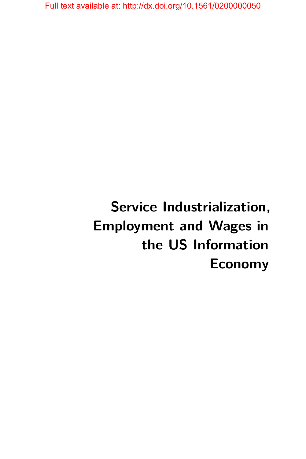# **Service Industrialization, Employment and Wages in the US Information Economy**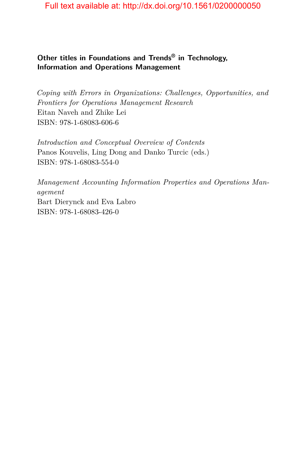### **Other titles in Foundations and Trends® in Technology, Information and Operations Management**

*Coping with Errors in Organizations: Challenges, Opportunities, and Frontiers for Operations Management Research* Eitan Naveh and Zhike Lei ISBN: 978-1-68083-606-6

*Introduction and Conceptual Overview of Contents* Panos Kouvelis, Ling Dong and Danko Turcic (eds.) ISBN: 978-1-68083-554-0

*Management Accounting Information Properties and Operations Management* Bart Dierynck and Eva Labro ISBN: 978-1-68083-426-0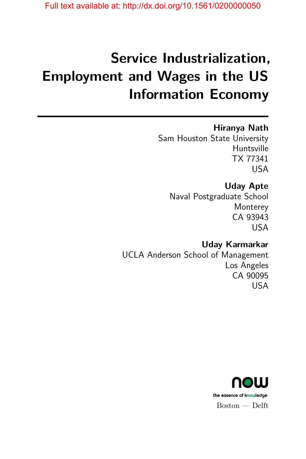# **Service Industrialization, Employment and Wages in the US Information Economy**

### **Hiranya Nath**

Sam Houston State University Huntsville TX 77341 USA

## **Uday Apte**

Naval Postgraduate School **Monterey** CA 93943 USA

## **Uday Karmarkar** UCLA Anderson School of Management Los Angeles CA 90095 USA

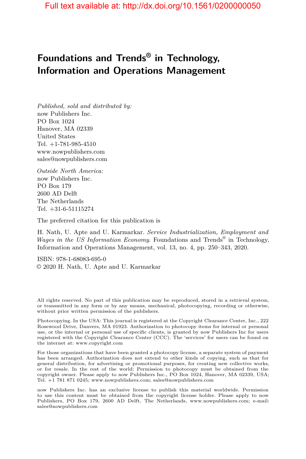# **Foundations and Trends® in Technology, Information and Operations Management**

*Published, sold and distributed by:* now Publishers Inc. PO Box 1024 Hanover, MA 02339 United States Tel. +1-781-985-4510 www.nowpublishers.com sales@nowpublishers.com

*Outside North America:* now Publishers Inc. PO Box 179 2600 AD Delft The Netherlands Tel. +31-6-51115274

The preferred citation for this publication is

H. Nath, U. Apte and U. Karmarkar. *Service Industrialization, Employment and Wages in the US Information Economy*. Foundations and Trends® in Technology, Information and Operations Management, vol. 13, no. 4, pp. 250–343, 2020.

ISBN: 978-1-68083-695-0 © 2020 H. Nath, U. Apte and U. Karmarkar

All rights reserved. No part of this publication may be reproduced, stored in a retrieval system, or transmitted in any form or by any means, mechanical, photocopying, recording or otherwise, without prior written permission of the publishers.

Photocopying. In the USA: This journal is registered at the Copyright Clearance Center, Inc., 222 Rosewood Drive, Danvers, MA 01923. Authorization to photocopy items for internal or personal use, or the internal or personal use of specific clients, is granted by now Publishers Inc for users registered with the Copyright Clearance Center (CCC). The 'services' for users can be found on the internet at: www.copyright.com

For those organizations that have been granted a photocopy license, a separate system of payment has been arranged. Authorization does not extend to other kinds of copying, such as that for general distribution, for advertising or promotional purposes, for creating new collective works, or for resale. In the rest of the world: Permission to photocopy must be obtained from the copyright owner. Please apply to now Publishers Inc., PO Box 1024, Hanover, MA 02339, USA; Tel. +1 781 871 0245; www.nowpublishers.com; sales@nowpublishers.com

now Publishers Inc. has an exclusive license to publish this material worldwide. Permission to use this content must be obtained from the copyright license holder. Please apply to now Publishers, PO Box 179, 2600 AD Delft, The Netherlands, www.nowpublishers.com; e-mail: sales@nowpublishers.com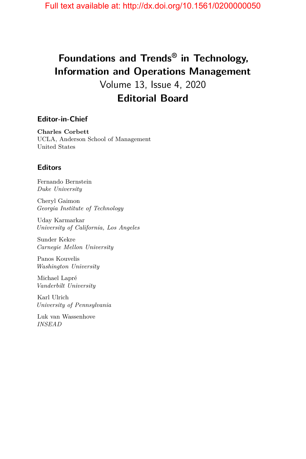# **Foundations and Trends® in Technology, Information and Operations Management**

Volume 13, Issue 4, 2020 **Editorial Board**

#### **Editor-in-Chief**

**Charles Corbett** UCLA, Anderson School of Management United States

#### **Editors**

Fernando Bernstein *Duke University*

Cheryl Gaimon *Georgia Institute of Technology*

Uday Karmarkar *University of California, Los Angeles*

Sunder Kekre *Carnegie Mellon University*

Panos Kouvelis *Washington University*

Michael Lapré *Vanderbilt University*

Karl Ulrich *University of Pennsylvania*

Luk van Wassenhove *INSEAD*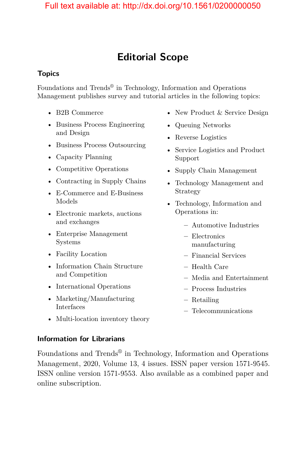# **Editorial Scope**

#### **Topics**

Foundations and Trends® in Technology, Information and Operations Management publishes survey and tutorial articles in the following topics:

- B2B Commerce
- Business Process Engineering and Design
- Business Process Outsourcing
- Capacity Planning
- Competitive Operations
- Contracting in Supply Chains
- E-Commerce and E-Business Models
- Electronic markets, auctions and exchanges
- Enterprise Management Systems
- Facility Location
- Information Chain Structure and Competition
- International Operations
- Marketing/Manufacturing Interfaces
- New Product & Service Design
- Queuing Networks
- Reverse Logistics
- Service Logistics and Product Support
- Supply Chain Management
- Technology Management and Strategy
- Technology, Information and Operations in:
	- **–** Automotive Industries
	- **–** Electronics manufacturing
	- **–** Financial Services
	- **–** Health Care
	- **–** Media and Entertainment
	- **–** Process Industries
	- **–** Retailing
	- **–** Telecommunications
- Multi-location inventory theory

#### **Information for Librarians**

Foundations and Trends® in Technology, Information and Operations Management, 2020, Volume 13, 4 issues. ISSN paper version 1571-9545. ISSN online version 1571-9553. Also available as a combined paper and online subscription.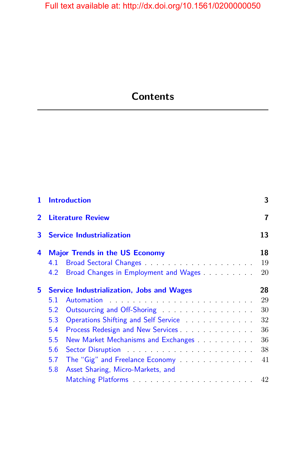# **Contents**

| 1              | <b>Introduction</b> |                                                  | 3  |
|----------------|---------------------|--------------------------------------------------|----|
| $\overline{2}$ |                     | <b>Literature Review</b>                         | 7  |
| 3              |                     | <b>Service Industrialization</b>                 | 13 |
| 4              |                     | <b>Major Trends in the US Economy</b>            | 18 |
|                | 4.1                 |                                                  | 19 |
|                | 4.2                 | Broad Changes in Employment and Wages            | 20 |
| 5.             |                     | <b>Service Industrialization, Jobs and Wages</b> | 28 |
|                | 5.1                 |                                                  | 29 |
|                | 5.2                 | Outsourcing and Off-Shoring                      | 30 |
|                | 5.3                 | Operations Shifting and Self Service             | 32 |
|                | 5.4                 | Process Redesign and New Services                | 36 |
|                | 5.5                 | New Market Mechanisms and Exchanges              | 36 |
|                | 5.6                 | Sector Disruption <b>Sector</b> Disruption       | 38 |
|                | 5.7                 | The "Gig" and Freelance Economy                  | 41 |
|                | 5.8                 | Asset Sharing, Micro-Markets, and                |    |
|                |                     |                                                  | 42 |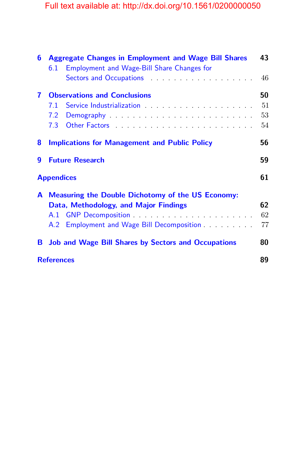| 6 | <b>Aggregate Changes in Employment and Wage Bill Shares</b>                                                                                                                                                                    |    |  |
|---|--------------------------------------------------------------------------------------------------------------------------------------------------------------------------------------------------------------------------------|----|--|
|   | <b>Employment and Wage-Bill Share Changes for</b><br>6.1                                                                                                                                                                       |    |  |
|   | Sectors and Occupations and the sector of the sector of the sector of the sector of the sector of the sector of the sector of the sector of the sector of the sector of the sector of the sector of the sector of the sector o | 46 |  |
| 7 | <b>Observations and Conclusions</b>                                                                                                                                                                                            |    |  |
|   | 7.1                                                                                                                                                                                                                            | 51 |  |
|   |                                                                                                                                                                                                                                | 53 |  |
|   |                                                                                                                                                                                                                                | 54 |  |
| 8 | <b>Implications for Management and Public Policy</b>                                                                                                                                                                           | 56 |  |
| 9 | <b>Future Research</b>                                                                                                                                                                                                         | 59 |  |
|   | <b>Appendices</b>                                                                                                                                                                                                              |    |  |
| A | <b>Measuring the Double Dichotomy of the US Economy:</b>                                                                                                                                                                       |    |  |
|   | Data, Methodology, and Major Findings                                                                                                                                                                                          | 62 |  |
|   |                                                                                                                                                                                                                                | 62 |  |
|   | Employment and Wage Bill Decomposition<br>A.2                                                                                                                                                                                  | 77 |  |
| в | <b>Job and Wage Bill Shares by Sectors and Occupations</b>                                                                                                                                                                     | 80 |  |
|   | <b>References</b>                                                                                                                                                                                                              |    |  |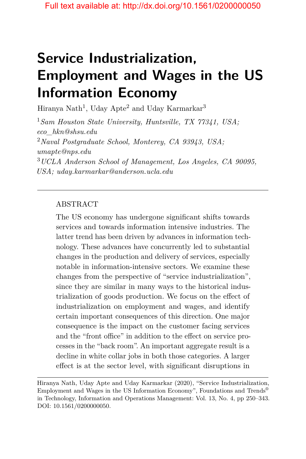# **Service Industrialization, Employment and Wages in the US Information Economy**

Hiranya Nath<sup>1</sup>, Uday Apte<sup>2</sup> and Uday Karmarkar<sup>3</sup>

<sup>1</sup>*Sam Houston State University, Huntsville, TX 77341, USA; eco\_hkn@shsu.edu* <sup>2</sup>*Naval Postgraduate School, Monterey, CA 93943, USA; umapte@nps.edu* <sup>3</sup>*UCLA Anderson School of Management, Los Angeles, CA 90095, USA; uday.karmarkar@anderson.ucla.edu*

#### ABSTRACT

The US economy has undergone significant shifts towards services and towards information intensive industries. The latter trend has been driven by advances in information technology. These advances have concurrently led to substantial changes in the production and delivery of services, especially notable in information-intensive sectors. We examine these changes from the perspective of "service industrialization", since they are similar in many ways to the historical industrialization of goods production. We focus on the effect of industrialization on employment and wages, and identify certain important consequences of this direction. One major consequence is the impact on the customer facing services and the "front office" in addition to the effect on service processes in the "back room". An important aggregate result is a decline in white collar jobs in both those categories. A larger effect is at the sector level, with significant disruptions in

Hiranya Nath, Uday Apte and Uday Karmarkar (2020), "Service Industrialization, Employment and Wages in the US Information Economy", Foundations and Trends® in Technology, Information and Operations Management: Vol. 13, No. 4, pp 250–343. DOI: 10.1561/0200000050.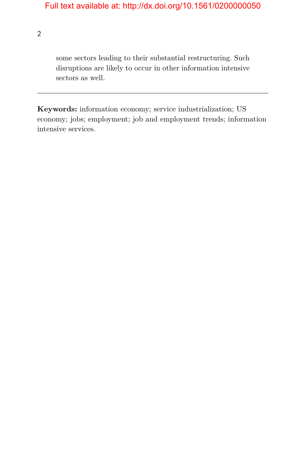2

some sectors leading to their substantial restructuring. Such disruptions are likely to occur in other information intensive sectors as well.

**Keywords:** information economy; service industrialization; US economy; jobs; employment; job and employment trends; information intensive services.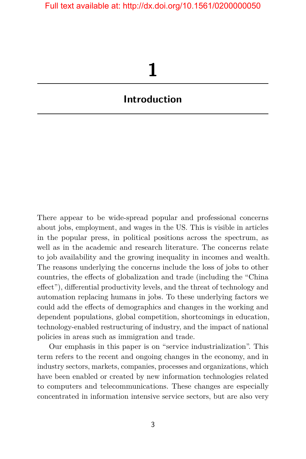# **1**

## <span id="page-10-0"></span>**Introduction**

There appear to be wide-spread popular and professional concerns about jobs, employment, and wages in the US. This is visible in articles in the popular press, in political positions across the spectrum, as well as in the academic and research literature. The concerns relate to job availability and the growing inequality in incomes and wealth. The reasons underlying the concerns include the loss of jobs to other countries, the effects of globalization and trade (including the "China effect"), differential productivity levels, and the threat of technology and automation replacing humans in jobs. To these underlying factors we could add the effects of demographics and changes in the working and dependent populations, global competition, shortcomings in education, technology-enabled restructuring of industry, and the impact of national policies in areas such as immigration and trade.

Our emphasis in this paper is on "service industrialization". This term refers to the recent and ongoing changes in the economy, and in industry sectors, markets, companies, processes and organizations, which have been enabled or created by new information technologies related to computers and telecommunications. These changes are especially concentrated in information intensive service sectors, but are also very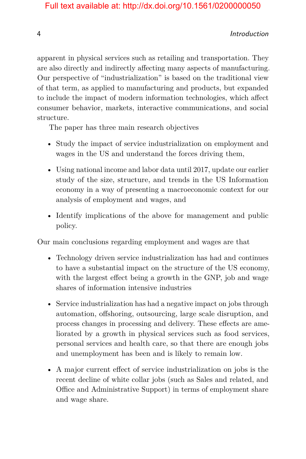#### 4 Introduction

apparent in physical services such as retailing and transportation. They are also directly and indirectly affecting many aspects of manufacturing. Our perspective of "industrialization" is based on the traditional view of that term, as applied to manufacturing and products, but expanded to include the impact of modern information technologies, which affect consumer behavior, markets, interactive communications, and social structure.

The paper has three main research objectives

- Study the impact of service industrialization on employment and wages in the US and understand the forces driving them,
- Using national income and labor data until 2017, update our earlier study of the size, structure, and trends in the US Information economy in a way of presenting a macroeconomic context for our analysis of employment and wages, and
- Identify implications of the above for management and public policy.

Our main conclusions regarding employment and wages are that

- Technology driven service industrialization has had and continues to have a substantial impact on the structure of the US economy, with the largest effect being a growth in the GNP, job and wage shares of information intensive industries
- Service industrialization has had a negative impact on jobs through automation, offshoring, outsourcing, large scale disruption, and process changes in processing and delivery. These effects are ameliorated by a growth in physical services such as food services, personal services and health care, so that there are enough jobs and unemployment has been and is likely to remain low.
- A major current effect of service industrialization on jobs is the recent decline of white collar jobs (such as Sales and related, and Office and Administrative Support) in terms of employment share and wage share.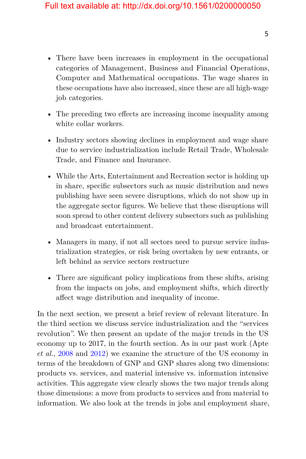- There have been increases in employment in the occupational categories of Management, Business and Financial Operations, Computer and Mathematical occupations. The wage shares in these occupations have also increased, since these are all high-wage job categories.
- The preceding two effects are increasing income inequality among white collar workers.
- Industry sectors showing declines in employment and wage share due to service industrialization include Retail Trade, Wholesale Trade, and Finance and Insurance.
- While the Arts, Entertainment and Recreation sector is holding up in share, specific subsectors such as music distribution and news publishing have seen severe disruptions, which do not show up in the aggregate sector figures. We believe that these disruptions will soon spread to other content delivery subsectors such as publishing and broadcast entertainment.
- Managers in many, if not all sectors need to pursue service industrialization strategies, or risk being overtaken by new entrants, or left behind as service sectors restructure
- There are significant policy implications from these shifts, arising from the impacts on jobs, and employment shifts, which directly affect wage distribution and inequality of income.

In the next section, we present a brief review of relevant literature. In the third section we discuss service industrialization and the "services revolution". We then present an update of the major trends in the US economy up to 2017, in the fourth section. As in our past work (Apte *et al.*, [2008](#page-14-1) and [2012\)](#page-14-2) we examine the structure of the US economy in terms of the breakdown of GNP and GNP shares along two dimensions: products vs. services, and material intensive vs. information intensive activities. This aggregate view clearly shows the two major trends along those dimensions: a move from products to services and from material to information. We also look at the trends in jobs and employment share,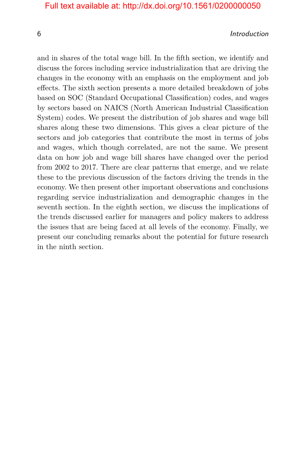#### 6 Introduction

and in shares of the total wage bill. In the fifth section, we identify and discuss the forces including service industrialization that are driving the changes in the economy with an emphasis on the employment and job effects. The sixth section presents a more detailed breakdown of jobs based on SOC (Standard Occupational Classification) codes, and wages by sectors based on NAICS (North American Industrial Classification System) codes. We present the distribution of job shares and wage bill shares along these two dimensions. This gives a clear picture of the sectors and job categories that contribute the most in terms of jobs and wages, which though correlated, are not the same. We present data on how job and wage bill shares have changed over the period from 2002 to 2017. There are clear patterns that emerge, and we relate these to the previous discussion of the factors driving the trends in the economy. We then present other important observations and conclusions regarding service industrialization and demographic changes in the seventh section. In the eighth section, we discuss the implications of the trends discussed earlier for managers and policy makers to address the issues that are being faced at all levels of the economy. Finally, we present our concluding remarks about the potential for future research in the ninth section.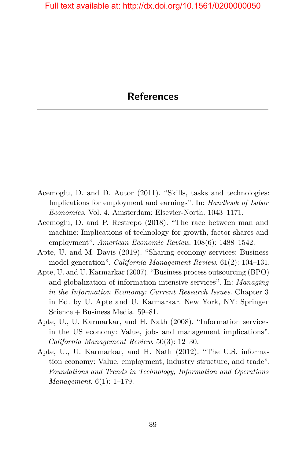- <span id="page-14-0"></span>Acemoglu, D. and D. Autor (2011). "Skills, tasks and technologies: Implications for employment and earnings". In: *Handbook of Labor Economics*. Vol. 4. Amsterdam: Elsevier-North. 1043–1171.
- Acemoglu, D. and P. Restrepo (2018). "The race between man and machine: Implications of technology for growth, factor shares and employment". *American Economic Review*. 108(6): 1488–1542.
- Apte, U. and M. Davis (2019). "Sharing economy services: Business model generation". *California Management Review*. 61(2): 104–131.
- Apte, U. and U. Karmarkar (2007). "Business process outsourcing (BPO) and globalization of information intensive services". In: *Managing in the Information Economy: Current Research Issues*. Chapter 3 in Ed. by U. Apte and U. Karmarkar. New York, NY: Springer Science + Business Media. 59–81.
- <span id="page-14-1"></span>Apte, U., U. Karmarkar, and H. Nath (2008). "Information services in the US economy: Value, jobs and management implications". *California Management Review*. 50(3): 12–30.
- <span id="page-14-2"></span>Apte, U., U. Karmarkar, and H. Nath (2012). "The U.S. information economy: Value, employment, industry structure, and trade". *Foundations and Trends in Technology, Information and Operations Management*. 6(1): 1–179.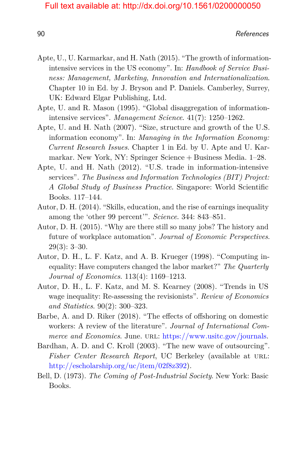essay of the contract of the contract of the contract of the contract of the contract of the contract of the contract of the contract of the contract of the contract of the contract of the contract of the contract of the c

- Apte, U., U. Karmarkar, and H. Nath (2015). "The growth of informationintensive services in the US economy". In: *Handbook of Service Business: Management, Marketing, Innovation and Internationalization*. Chapter 10 in Ed. by J. Bryson and P. Daniels. Camberley, Surrey, UK: Edward Elgar Publishing, Ltd.
- Apte, U. and R. Mason (1995). "Global disaggregation of informationintensive services". *Management Science*. 41(7): 1250–1262.
- Apte, U. and H. Nath (2007). "Size, structure and growth of the U.S. information economy". In: *Managing in the Information Economy: Current Research Issues*. Chapter 1 in Ed. by U. Apte and U. Karmarkar. New York, NY: Springer Science + Business Media. 1–28.
- Apte, U. and H. Nath (2012). "U.S. trade in information-intensive services"*. The Business and Information Technologies (BIT) Project: A Global Study of Business Practice*. Singapore: World Scientific Books. 117–144.
- Autor, D. H. (2014). "Skills, education, and the rise of earnings inequality among the 'other 99 percent'". *Science*. 344: 843–851.
- Autor, D. H. (2015). "Why are there still so many jobs? The history and future of workplace automation". *Journal of Economic Perspectives*. 29(3): 3–30.
- Autor, D. H., L. F. Katz, and A. B. Krueger (1998). "Computing inequality: Have computers changed the labor market?" *The Quarterly Journal of Economics*. 113(4): 1169–1213.
- Autor, D. H., L. F. Katz, and M. S. Kearney (2008). "Trends in US wage inequality: Re-assessing the revisionists". *Review of Economics and Statistics*. 90(2): 300–323.
- Barbe, A. and D. Riker (2018). "The effects of offshoring on domestic workers: A review of the literature". *Journal of International Commerce and Economics.* June. URL: [https://www.usitc.gov/journals.](https://www.usitc.gov/journals)
- Bardhan, A. D. and C. Kroll (2003). "The new wave of outsourcing". Fisher Center Research Report, UC Berkeley (available at URL: [http://escholarship.org/uc/item/02f8z392\)](http://escholarship.org/uc/item/02f8z392).
- Bell, D. (1973). *The Coming of Post-Industrial Society*. New York: Basic Books.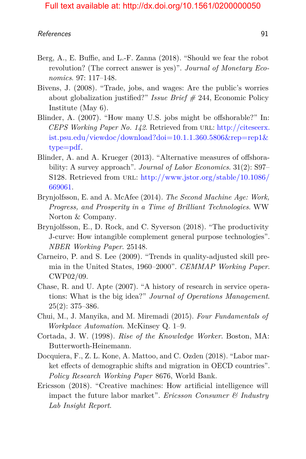- Berg, A., E. Buffie, and L.-F. Zanna (2018). "Should we fear the robot revolution? (The correct answer is yes)". *Journal of Monetary Economics*. 97: 117–148.
- Bivens, J. (2008). "Trade, jobs, and wages: Are the public's worries about globalization justified?" *Issue Brief #* 244, Economic Policy Institute (May 6).
- Blinder, A. (2007). "How many U.S. jobs might be offshorable?" In: *CEPS Working Paper No. 142.* Retrieved from URL: [http://citeseerx.](http://citeseerx.ist.psu.edu/viewdoc/download?doi=10.1.1.360.5806&rep=rep1&type=pdf) [ist.psu.edu/viewdoc/download?doi=10.1.1.360.5806&rep=rep1&](http://citeseerx.ist.psu.edu/viewdoc/download?doi=10.1.1.360.5806&rep=rep1&type=pdf) [type=pdf.](http://citeseerx.ist.psu.edu/viewdoc/download?doi=10.1.1.360.5806&rep=rep1&type=pdf)
- Blinder, A. and A. Krueger (2013). "Alternative measures of offshorability: A survey approach". *Journal of Labor Economics*. 31(2): S97– S128. Retrieved from URL: [http://www.jstor.org/stable/10.1086/](http://www.jstor.org/stable/10.1086/669061) [669061.](http://www.jstor.org/stable/10.1086/669061)
- Brynjolfsson, E. and A. McAfee (2014). *The Second Machine Age: Work, Progress, and Prosperity in a Time of Brilliant Technologies*. WW Norton & Company.
- Brynjolfsson, E., D. Rock, and C. Syverson (2018). "The productivity J-curve: How intangible complement general purpose technologies". *NBER Working Paper*. 25148.
- Carneiro, P. and S. Lee (2009). "Trends in quality-adjusted skill premia in the United States, 1960–2000". *CEMMAP Working Paper*. CWP02/09.
- Chase, R. and U. Apte (2007). "A history of research in service operations: What is the big idea?" *Journal of Operations Management*.  $25(2): 375 - 386.$
- Chui, M., J. Manyika, and M. Miremadi (2015). *Four Fundamentals of Workplace Automation*. McKinsey Q. 1–9.
- Cortada, J. W. (1998). *Rise of the Knowledge Worker*. Boston, MA: Butterworth-Heinemann.
- Docquiera, F., Z. L. Kone, A. Mattoo, and C. Ozden (2018). "Labor market effects of demographic shifts and migration in OECD countries". *Policy Research Working Paper* 8676, World Bank.
- Ericsson (2018). "Creative machines: How artificial intelligence will impact the future labor market". *Ericsson Consumer & Industry Lab Insight Report*.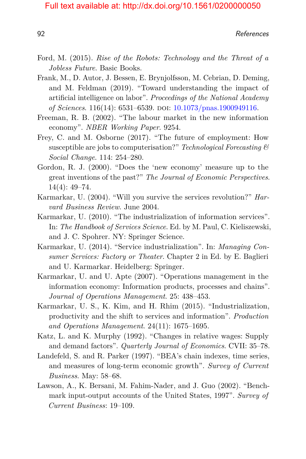- Ford, M. (2015). *Rise of the Robots: Technology and the Threat of a Jobless Future*. Basic Books.
- Frank, M., D. Autor, J. Bessen, E. Brynjolfsson, M. Cebrian, D. Deming, and M. Feldman (2019). "Toward understanding the impact of artificial intelligence on labor". *Proceedings of the National Academy of Sciences*. 116(14): 6531–6539. doi: [10.1073/pnas.1900949116.](https://doi.org/10.1073/pnas.1900949116)
- Freeman, R. B. (2002). "The labour market in the new information economy". *NBER Working Paper*. 9254.
- Frey, C. and M. Osborne (2017). "The future of employment: How susceptible are jobs to computerisation?" *Technological Forecasting & Social Change*. 114: 254–280.
- Gordon, R. J. (2000). "Does the 'new economy' measure up to the great inventions of the past?" *The Journal of Economic Perspectives*. 14(4): 49–74.
- Karmarkar, U. (2004). "Will you survive the services revolution?" *Harvard Business Review*. June 2004.
- Karmarkar, U. (2010). "The industrialization of information services". In: *The Handbook of Services Science*. Ed. by M. Paul, C. Kieliszewski, and J. C. Spohrer. NY: Springer Science.
- Karmarkar, U. (2014). "Service industrialization". In: *Managing Consumer Services: Factory or Theater*. Chapter 2 in Ed. by E. Baglieri and U. Karmarkar. Heidelberg: Springer.
- Karmarkar, U. and U. Apte (2007). "Operations management in the information economy: Information products, processes and chains". *Journal of Operations Management*. 25: 438–453.
- Karmarkar, U. S., K. Kim, and H. Rhim (2015). "Industrialization, productivity and the shift to services and information". *Production and Operations Management*. 24(11): 1675–1695.
- Katz, L. and K. Murphy (1992). "Changes in relative wages: Supply and demand factors". *Quarterly Journal of Economics*. CVII: 35–78.
- Landefeld, S. and R. Parker (1997). "BEA's chain indexes, time series, and measures of long-term economic growth". *Survey of Current Business*. May: 58–68.
- Lawson, A., K. Bersani, M. Fahim-Nader, and J. Guo (2002). "Benchmark input-output accounts of the United States, 1997". *Survey of Current Business*: 19–109.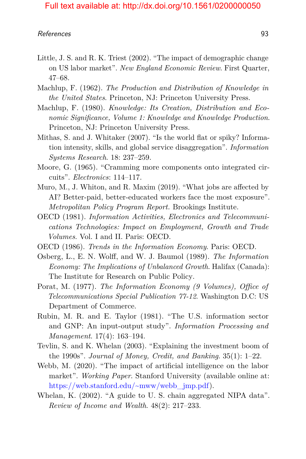- Little, J. S. and R. K. Triest (2002). "The impact of demographic change on US labor market". *New England Economic Review*. First Quarter, 47–68.
- Machlup, F. (1962). *The Production and Distribution of Knowledge in the United States*. Princeton, NJ: Princeton University Press.
- Machlup, F. (1980). *Knowledge: Its Creation, Distribution and Economic Significance, Volume 1: Knowledge and Knowledge Production*. Princeton, NJ: Princeton University Press.
- Mithas, S. and J. Whitaker (2007). "Is the world flat or spiky? Information intensity, skills, and global service disaggregation". *Information Systems Research*. 18: 237–259.
- Moore, G. (1965). "Cramming more components onto integrated circuits". *Electronics*: 114–117.
- Muro, M., J. Whiton, and R. Maxim (2019). "What jobs are affected by AI? Better-paid, better-educated workers face the most exposure". *Metropolitan Policy Program Report.* Brookings Institute.
- OECD (1981). *Information Activities, Electronics and Telecommunications Technologies: Impact on Employment, Growth and Trade Volumes*. Vol. I and II. Paris: OECD.
- OECD (1986). *Trends in the Information Economy*. Paris: OECD.
- Osberg, L., E. N. Wolff, and W. J. Baumol (1989). *The Information Economy: The Implications of Unbalanced Growth*. Halifax (Canada): The Institute for Research on Public Policy.
- Porat, M. (1977). *The Information Economy (9 Volumes), Office of Telecommunications Special Publication 77-12*. Washington D.C: US Department of Commerce.
- Rubin, M. R. and E. Taylor (1981). "The U.S. information sector and GNP: An input-output study". *Information Processing and Management*. 17(4): 163–194.
- Tevlin, S. and K. Whelan (2003). "Explaining the investment boom of the 1990s". *Journal of Money, Credit, and Banking*. 35(1): 1–22.
- Webb, M. (2020). "The impact of artificial intelligence on the labor market". *Working Paper*. Stanford University (available online at: [https://web.stanford.edu/~mww/webb\\_jmp.pdf\)](https://web.stanford.edu/~mww/webb_jmp.pdf).
- Whelan, K. (2002). "A guide to U. S. chain aggregated NIPA data". *Review of Income and Wealth*. 48(2): 217–233.